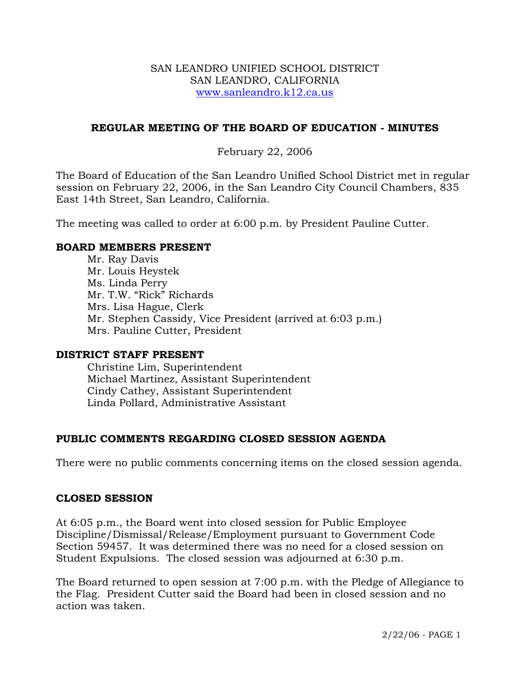#### SAN LEANDRO UNIFIED SCHOOL DISTRICT SAN LEANDRO, CALIFORNIA www.sanleandro.k12.ca.us

### **REGULAR MEETING OF THE BOARD OF EDUCATION - MINUTES**

### February 22, 2006

The Board of Education of the San Leandro Unified School District met in regular session on February 22, 2006, in the San Leandro City Council Chambers, 835 East 14th Street, San Leandro, California.

The meeting was called to order at 6:00 p.m. by President Pauline Cutter.

#### **BOARD MEMBERS PRESENT**

Mr. Ray Davis Mr. Louis Heystek Ms. Linda Perry Mr. T.W. "Rick" Richards Mrs. Lisa Hague, Clerk Mr. Stephen Cassidy, Vice President (arrived at 6:03 p.m.) Mrs. Pauline Cutter, President

#### **DISTRICT STAFF PRESENT**

Christine Lim, Superintendent Michael Martinez, Assistant Superintendent Cindy Cathey, Assistant Superintendent Linda Pollard, Administrative Assistant

## **PUBLIC COMMENTS REGARDING CLOSED SESSION AGENDA**

There were no public comments concerning items on the closed session agenda.

#### **CLOSED SESSION**

At 6:05 p.m., the Board went into closed session for Public Employee Discipline/Dismissal/Release/Employment pursuant to Government Code Section 59457. It was determined there was no need for a closed session on Student Expulsions. The closed session was adjourned at 6:30 p.m.

The Board returned to open session at 7:00 p.m. with the Pledge of Allegiance to the Flag. President Cutter said the Board had been in closed session and no action was taken.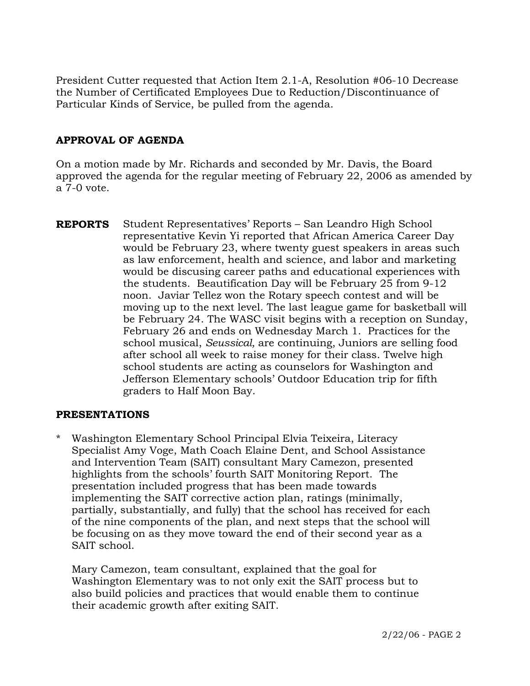President Cutter requested that Action Item 2.1-A, Resolution #06-10 Decrease the Number of Certificated Employees Due to Reduction/Discontinuance of Particular Kinds of Service, be pulled from the agenda.

# **APPROVAL OF AGENDA**

On a motion made by Mr. Richards and seconded by Mr. Davis, the Board approved the agenda for the regular meeting of February 22, 2006 as amended by a 7-0 vote.

**REPORTS** Student Representatives' Reports – San Leandro High School representative Kevin Yi reported that African America Career Day would be February 23, where twenty guest speakers in areas such as law enforcement, health and science, and labor and marketing would be discusing career paths and educational experiences with the students. Beautification Day will be February 25 from 9-12 noon. Javiar Tellez won the Rotary speech contest and will be moving up to the next level. The last league game for basketball will be February 24. The WASC visit begins with a reception on Sunday, February 26 and ends on Wednesday March 1. Practices for the school musical, *Seussical,* are continuing, Juniors are selling food after school all week to raise money for their class. Twelve high school students are acting as counselors for Washington and Jefferson Elementary schools' Outdoor Education trip for fifth graders to Half Moon Bay.

#### **PRESENTATIONS**

Washington Elementary School Principal Elvia Teixeira, Literacy Specialist Amy Voge, Math Coach Elaine Dent, and School Assistance and Intervention Team (SAIT) consultant Mary Camezon, presented highlights from the schools' fourth SAIT Monitoring Report. The presentation included progress that has been made towards implementing the SAIT corrective action plan, ratings (minimally, partially, substantially, and fully) that the school has received for each of the nine components of the plan, and next steps that the school will be focusing on as they move toward the end of their second year as a SAIT school.

 Mary Camezon, team consultant, explained that the goal for Washington Elementary was to not only exit the SAIT process but to also build policies and practices that would enable them to continue their academic growth after exiting SAIT.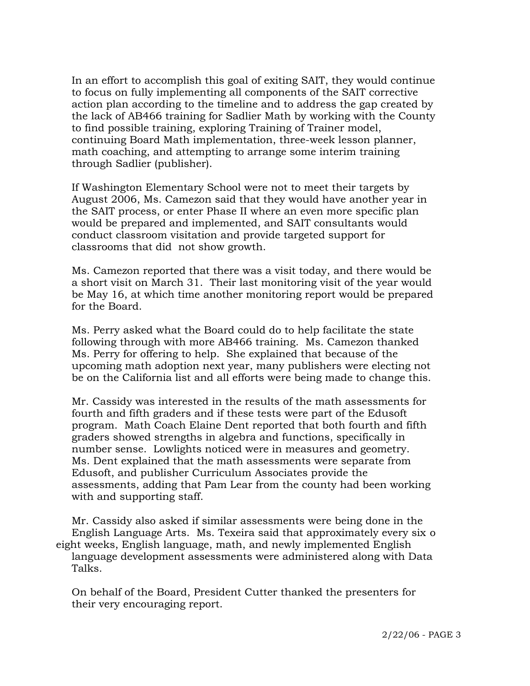In an effort to accomplish this goal of exiting SAIT, they would continue to focus on fully implementing all components of the SAIT corrective action plan according to the timeline and to address the gap created by the lack of AB466 training for Sadlier Math by working with the County to find possible training, exploring Training of Trainer model, continuing Board Math implementation, three-week lesson planner, math coaching, and attempting to arrange some interim training through Sadlier (publisher).

 If Washington Elementary School were not to meet their targets by August 2006, Ms. Camezon said that they would have another year in the SAIT process, or enter Phase II where an even more specific plan would be prepared and implemented, and SAIT consultants would conduct classroom visitation and provide targeted support for classrooms that did not show growth.

 Ms. Camezon reported that there was a visit today, and there would be a short visit on March 31. Their last monitoring visit of the year would be May 16, at which time another monitoring report would be prepared for the Board.

 Ms. Perry asked what the Board could do to help facilitate the state following through with more AB466 training. Ms. Camezon thanked Ms. Perry for offering to help. She explained that because of the upcoming math adoption next year, many publishers were electing not be on the California list and all efforts were being made to change this.

 Mr. Cassidy was interested in the results of the math assessments for fourth and fifth graders and if these tests were part of the Edusoft program. Math Coach Elaine Dent reported that both fourth and fifth graders showed strengths in algebra and functions, specifically in number sense. Lowlights noticed were in measures and geometry. Ms. Dent explained that the math assessments were separate from Edusoft, and publisher Curriculum Associates provide the assessments, adding that Pam Lear from the county had been working with and supporting staff.

 Mr. Cassidy also asked if similar assessments were being done in the English Language Arts. Ms. Texeira said that approximately every six o eight weeks, English language, math, and newly implemented English language development assessments were administered along with Data Talks.

 On behalf of the Board, President Cutter thanked the presenters for their very encouraging report.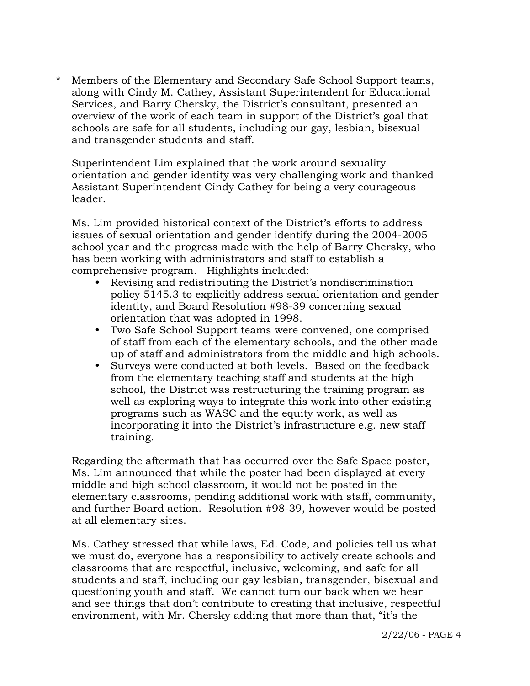\* Members of the Elementary and Secondary Safe School Support teams, along with Cindy M. Cathey, Assistant Superintendent for Educational Services, and Barry Chersky, the District's consultant, presented an overview of the work of each team in support of the District's goal that schools are safe for all students, including our gay, lesbian, bisexual and transgender students and staff.

Superintendent Lim explained that the work around sexuality orientation and gender identity was very challenging work and thanked Assistant Superintendent Cindy Cathey for being a very courageous leader.

Ms. Lim provided historical context of the District's efforts to address issues of sexual orientation and gender identify during the 2004-2005 school year and the progress made with the help of Barry Chersky, who has been working with administrators and staff to establish a comprehensive program. Highlights included:

- Revising and redistributing the District's nondiscrimination policy 5145.3 to explicitly address sexual orientation and gender identity, and Board Resolution #98-39 concerning sexual orientation that was adopted in 1998.
- y Two Safe School Support teams were convened, one comprised of staff from each of the elementary schools, and the other made up of staff and administrators from the middle and high schools.
- Surveys were conducted at both levels. Based on the feedback from the elementary teaching staff and students at the high school, the District was restructuring the training program as well as exploring ways to integrate this work into other existing programs such as WASC and the equity work, as well as incorporating it into the District's infrastructure e.g. new staff training.

Regarding the aftermath that has occurred over the Safe Space poster, Ms. Lim announced that while the poster had been displayed at every middle and high school classroom, it would not be posted in the elementary classrooms, pending additional work with staff, community, and further Board action. Resolution #98-39, however would be posted at all elementary sites.

Ms. Cathey stressed that while laws, Ed. Code, and policies tell us what we must do, everyone has a responsibility to actively create schools and classrooms that are respectful, inclusive, welcoming, and safe for all students and staff, including our gay lesbian, transgender, bisexual and questioning youth and staff. We cannot turn our back when we hear and see things that don't contribute to creating that inclusive, respectful environment, with Mr. Chersky adding that more than that, "it's the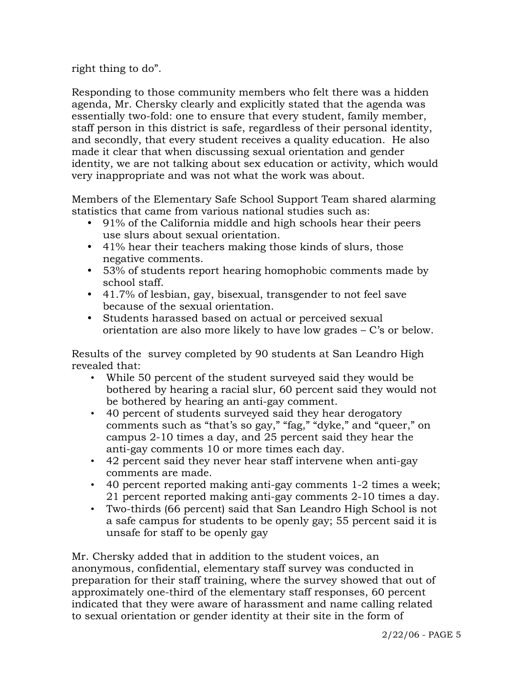right thing to do".

Responding to those community members who felt there was a hidden agenda, Mr. Chersky clearly and explicitly stated that the agenda was essentially two-fold: one to ensure that every student, family member, staff person in this district is safe, regardless of their personal identity, and secondly, that every student receives a quality education. He also made it clear that when discussing sexual orientation and gender identity, we are not talking about sex education or activity, which would very inappropriate and was not what the work was about.

Members of the Elementary Safe School Support Team shared alarming statistics that came from various national studies such as:

- y 91% of the California middle and high schools hear their peers use slurs about sexual orientation.
- 41% hear their teachers making those kinds of slurs, those negative comments.
- 53% of students report hearing homophobic comments made by school staff.
- 41.7% of lesbian, gay, bisexual, transgender to not feel save because of the sexual orientation.
- Students harassed based on actual or perceived sexual orientation are also more likely to have low grades – C's or below.

Results of the survey completed by 90 students at San Leandro High revealed that:

- While 50 percent of the student surveyed said they would be bothered by hearing a racial slur, 60 percent said they would not be bothered by hearing an anti-gay comment.
- 40 percent of students surveyed said they hear derogatory comments such as "that's so gay," "fag," "dyke," and "queer," on campus 2-10 times a day, and 25 percent said they hear the anti-gay comments 10 or more times each day.
- 42 percent said they never hear staff intervene when anti-gay comments are made.
- 40 percent reported making anti-gay comments 1-2 times a week; 21 percent reported making anti-gay comments 2-10 times a day.
- Two-thirds (66 percent) said that San Leandro High School is not a safe campus for students to be openly gay; 55 percent said it is unsafe for staff to be openly gay

Mr. Chersky added that in addition to the student voices, an anonymous, confidential, elementary staff survey was conducted in preparation for their staff training, where the survey showed that out of approximately one-third of the elementary staff responses, 60 percent indicated that they were aware of harassment and name calling related to sexual orientation or gender identity at their site in the form of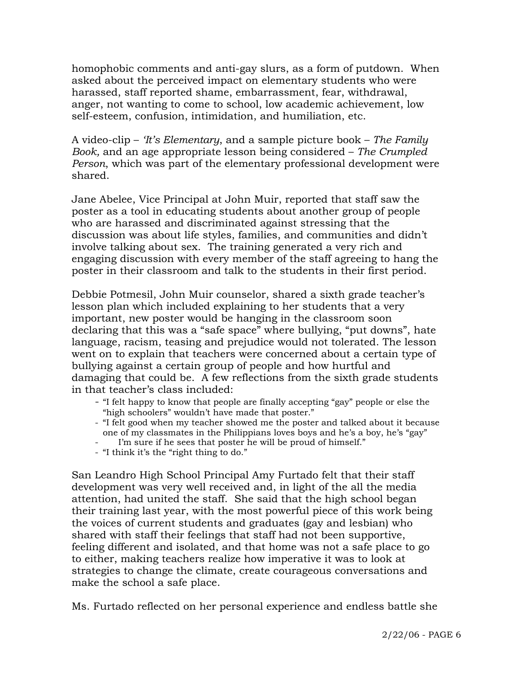homophobic comments and anti-gay slurs, as a form of putdown. When asked about the perceived impact on elementary students who were harassed, staff reported shame, embarrassment, fear, withdrawal, anger, not wanting to come to school, low academic achievement, low self-esteem, confusion, intimidation, and humiliation, etc.

A video-clip – *'It's Elementary*, and a sample picture book – *The Family Book,* and an age appropriate lesson being considered – *The Crumpled Person*, which was part of the elementary professional development were shared.

Jane Abelee, Vice Principal at John Muir, reported that staff saw the poster as a tool in educating students about another group of people who are harassed and discriminated against stressing that the discussion was about life styles, families, and communities and didn't involve talking about sex. The training generated a very rich and engaging discussion with every member of the staff agreeing to hang the poster in their classroom and talk to the students in their first period.

Debbie Potmesil, John Muir counselor, shared a sixth grade teacher's lesson plan which included explaining to her students that a very important, new poster would be hanging in the classroom soon declaring that this was a "safe space" where bullying, "put downs", hate language, racism, teasing and prejudice would not tolerated. The lesson went on to explain that teachers were concerned about a certain type of bullying against a certain group of people and how hurtful and damaging that could be. A few reflections from the sixth grade students in that teacher's class included:

- "I felt happy to know that people are finally accepting "gay" people or else the "high schoolers" wouldn't have made that poster."
- "I felt good when my teacher showed me the poster and talked about it because one of my classmates in the Philippians loves boys and he's a boy, he's "gay"
- I'm sure if he sees that poster he will be proud of himself."
- "I think it's the "right thing to do."

San Leandro High School Principal Amy Furtado felt that their staff development was very well received and, in light of the all the media attention, had united the staff. She said that the high school began their training last year, with the most powerful piece of this work being the voices of current students and graduates (gay and lesbian) who shared with staff their feelings that staff had not been supportive, feeling different and isolated, and that home was not a safe place to go to either, making teachers realize how imperative it was to look at strategies to change the climate, create courageous conversations and make the school a safe place.

Ms. Furtado reflected on her personal experience and endless battle she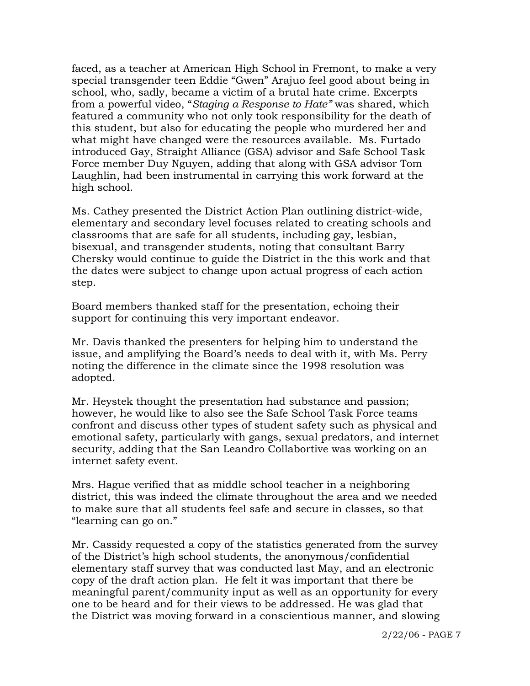faced, as a teacher at American High School in Fremont, to make a very special transgender teen Eddie "Gwen" Arajuo feel good about being in school, who, sadly, became a victim of a brutal hate crime. Excerpts from a powerful video, "*Staging a Response to Hate"* was shared, which featured a community who not only took responsibility for the death of this student, but also for educating the people who murdered her and what might have changed were the resources available. Ms. Furtado introduced Gay, Straight Alliance (GSA) advisor and Safe School Task Force member Duy Nguyen, adding that along with GSA advisor Tom Laughlin, had been instrumental in carrying this work forward at the high school.

Ms. Cathey presented the District Action Plan outlining district-wide, elementary and secondary level focuses related to creating schools and classrooms that are safe for all students, including gay, lesbian, bisexual, and transgender students, noting that consultant Barry Chersky would continue to guide the District in the this work and that the dates were subject to change upon actual progress of each action step.

Board members thanked staff for the presentation, echoing their support for continuing this very important endeavor.

Mr. Davis thanked the presenters for helping him to understand the issue, and amplifying the Board's needs to deal with it, with Ms. Perry noting the difference in the climate since the 1998 resolution was adopted.

Mr. Heystek thought the presentation had substance and passion; however, he would like to also see the Safe School Task Force teams confront and discuss other types of student safety such as physical and emotional safety, particularly with gangs, sexual predators, and internet security, adding that the San Leandro Collabortive was working on an internet safety event.

Mrs. Hague verified that as middle school teacher in a neighboring district, this was indeed the climate throughout the area and we needed to make sure that all students feel safe and secure in classes, so that "learning can go on."

Mr. Cassidy requested a copy of the statistics generated from the survey of the District's high school students, the anonymous/confidential elementary staff survey that was conducted last May, and an electronic copy of the draft action plan. He felt it was important that there be meaningful parent/community input as well as an opportunity for every one to be heard and for their views to be addressed. He was glad that the District was moving forward in a conscientious manner, and slowing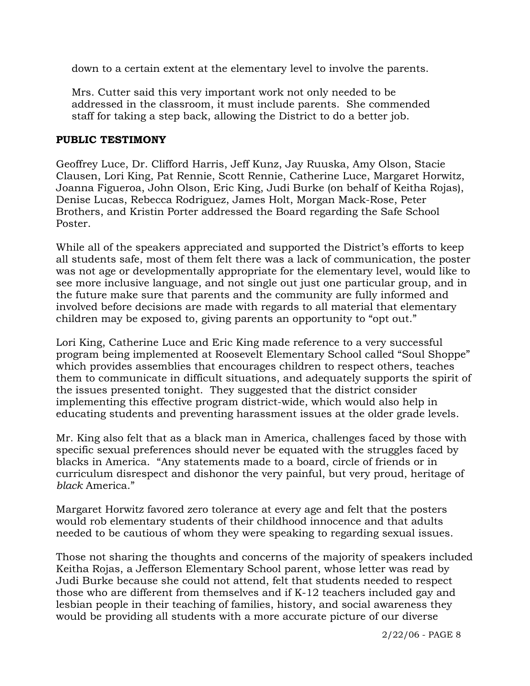down to a certain extent at the elementary level to involve the parents.

Mrs. Cutter said this very important work not only needed to be addressed in the classroom, it must include parents. She commended staff for taking a step back, allowing the District to do a better job.

## **PUBLIC TESTIMONY**

Geoffrey Luce, Dr. Clifford Harris, Jeff Kunz, Jay Ruuska, Amy Olson, Stacie Clausen, Lori King, Pat Rennie, Scott Rennie, Catherine Luce, Margaret Horwitz, Joanna Figueroa, John Olson, Eric King, Judi Burke (on behalf of Keitha Rojas), Denise Lucas, Rebecca Rodriguez, James Holt, Morgan Mack-Rose, Peter Brothers, and Kristin Porter addressed the Board regarding the Safe School Poster.

While all of the speakers appreciated and supported the District's efforts to keep all students safe, most of them felt there was a lack of communication, the poster was not age or developmentally appropriate for the elementary level, would like to see more inclusive language, and not single out just one particular group, and in the future make sure that parents and the community are fully informed and involved before decisions are made with regards to all material that elementary children may be exposed to, giving parents an opportunity to "opt out."

Lori King, Catherine Luce and Eric King made reference to a very successful program being implemented at Roosevelt Elementary School called "Soul Shoppe" which provides assemblies that encourages children to respect others, teaches them to communicate in difficult situations, and adequately supports the spirit of the issues presented tonight. They suggested that the district consider implementing this effective program district-wide, which would also help in educating students and preventing harassment issues at the older grade levels.

Mr. King also felt that as a black man in America, challenges faced by those with specific sexual preferences should never be equated with the struggles faced by blacks in America. "Any statements made to a board, circle of friends or in curriculum disrespect and dishonor the very painful, but very proud, heritage of *black* America."

Margaret Horwitz favored zero tolerance at every age and felt that the posters would rob elementary students of their childhood innocence and that adults needed to be cautious of whom they were speaking to regarding sexual issues.

Those not sharing the thoughts and concerns of the majority of speakers included Keitha Rojas, a Jefferson Elementary School parent, whose letter was read by Judi Burke because she could not attend, felt that students needed to respect those who are different from themselves and if K-12 teachers included gay and lesbian people in their teaching of families, history, and social awareness they would be providing all students with a more accurate picture of our diverse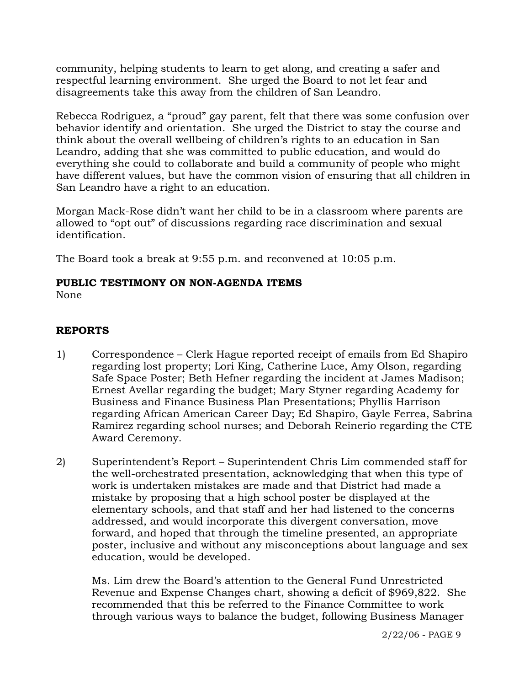community, helping students to learn to get along, and creating a safer and respectful learning environment. She urged the Board to not let fear and disagreements take this away from the children of San Leandro.

Rebecca Rodriguez, a "proud" gay parent, felt that there was some confusion over behavior identify and orientation. She urged the District to stay the course and think about the overall wellbeing of children's rights to an education in San Leandro, adding that she was committed to public education, and would do everything she could to collaborate and build a community of people who might have different values, but have the common vision of ensuring that all children in San Leandro have a right to an education.

Morgan Mack-Rose didn't want her child to be in a classroom where parents are allowed to "opt out" of discussions regarding race discrimination and sexual identification.

The Board took a break at 9:55 p.m. and reconvened at 10:05 p.m.

# **PUBLIC TESTIMONY ON NON-AGENDA ITEMS**

None

# **REPORTS**

- 1) Correspondence Clerk Hague reported receipt of emails from Ed Shapiro regarding lost property; Lori King, Catherine Luce, Amy Olson, regarding Safe Space Poster; Beth Hefner regarding the incident at James Madison; Ernest Avellar regarding the budget; Mary Styner regarding Academy for Business and Finance Business Plan Presentations; Phyllis Harrison regarding African American Career Day; Ed Shapiro, Gayle Ferrea, Sabrina Ramirez regarding school nurses; and Deborah Reinerio regarding the CTE Award Ceremony.
- 2) Superintendent's Report Superintendent Chris Lim commended staff for the well-orchestrated presentation, acknowledging that when this type of work is undertaken mistakes are made and that District had made a mistake by proposing that a high school poster be displayed at the elementary schools, and that staff and her had listened to the concerns addressed, and would incorporate this divergent conversation, move forward, and hoped that through the timeline presented, an appropriate poster, inclusive and without any misconceptions about language and sex education, would be developed.

Ms. Lim drew the Board's attention to the General Fund Unrestricted Revenue and Expense Changes chart, showing a deficit of \$969,822. She recommended that this be referred to the Finance Committee to work through various ways to balance the budget, following Business Manager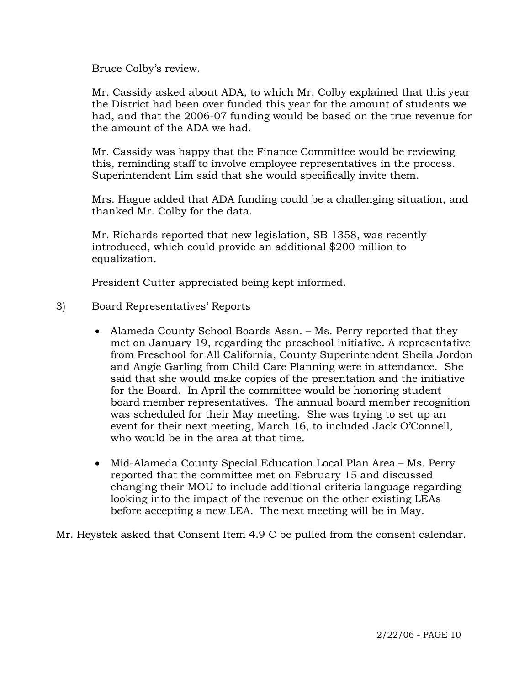Bruce Colby's review.

Mr. Cassidy asked about ADA, to which Mr. Colby explained that this year the District had been over funded this year for the amount of students we had, and that the 2006-07 funding would be based on the true revenue for the amount of the ADA we had.

Mr. Cassidy was happy that the Finance Committee would be reviewing this, reminding staff to involve employee representatives in the process. Superintendent Lim said that she would specifically invite them.

Mrs. Hague added that ADA funding could be a challenging situation, and thanked Mr. Colby for the data.

Mr. Richards reported that new legislation, SB 1358, was recently introduced, which could provide an additional \$200 million to equalization.

President Cutter appreciated being kept informed.

- 3) Board Representatives' Reports
	- Alameda County School Boards Assn. Ms. Perry reported that they met on January 19, regarding the preschool initiative. A representative from Preschool for All California, County Superintendent Sheila Jordon and Angie Garling from Child Care Planning were in attendance. She said that she would make copies of the presentation and the initiative for the Board. In April the committee would be honoring student board member representatives. The annual board member recognition was scheduled for their May meeting. She was trying to set up an event for their next meeting, March 16, to included Jack O'Connell, who would be in the area at that time.
	- Mid-Alameda County Special Education Local Plan Area Ms. Perry reported that the committee met on February 15 and discussed changing their MOU to include additional criteria language regarding looking into the impact of the revenue on the other existing LEAs before accepting a new LEA. The next meeting will be in May.

Mr. Heystek asked that Consent Item 4.9 C be pulled from the consent calendar.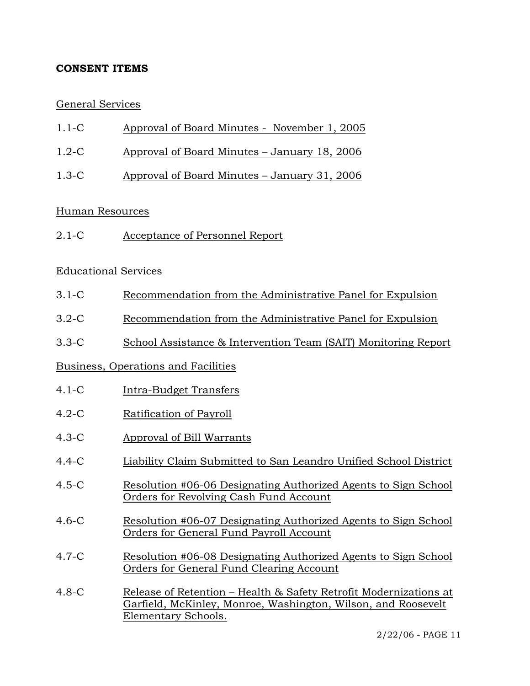# **CONSENT ITEMS**

## General Services

- 1.1-C Approval of Board Minutes November 1, 2005
- 1.2-C Approval of Board Minutes January 18, 2006
- 1.3-C Approval of Board Minutes January 31, 2006

### Human Resources

2.1-C Acceptance of Personnel Report

## Educational Services

- 3.1-C Recommendation from the Administrative Panel for Expulsion
- 3.2-C Recommendation from the Administrative Panel for Expulsion
- 3.3-C School Assistance & Intervention Team (SAIT) Monitoring Report

## Business, Operations and Facilities

- 4.1-C Intra-Budget Transfers
- 4.2-C Ratification of Payroll
- 4.3-C Approval of Bill Warrants
- 4.4-C Liability Claim Submitted to San Leandro Unified School District
- 4.5-C Resolution #06-06 Designating Authorized Agents to Sign School Orders for Revolving Cash Fund Account
- 4.6-C Resolution #06-07 Designating Authorized Agents to Sign School Orders for General Fund Payroll Account
- 4.7-C Resolution #06-08 Designating Authorized Agents to Sign School Orders for General Fund Clearing Account
- 4.8-C Release of Retention Health & Safety Retrofit Modernizations at Garfield, McKinley, Monroe, Washington, Wilson, and Roosevelt Elementary Schools.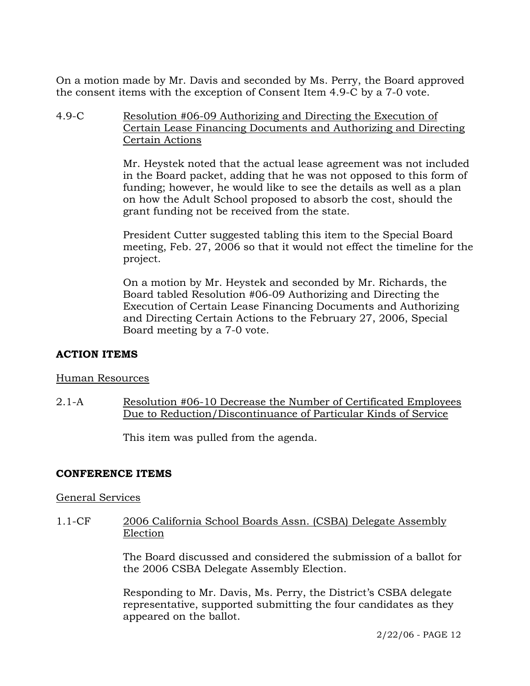On a motion made by Mr. Davis and seconded by Ms. Perry, the Board approved the consent items with the exception of Consent Item 4.9-C by a 7-0 vote.

4.9-C Resolution #06-09 Authorizing and Directing the Execution of Certain Lease Financing Documents and Authorizing and Directing Certain Actions

> Mr. Heystek noted that the actual lease agreement was not included in the Board packet, adding that he was not opposed to this form of funding; however, he would like to see the details as well as a plan on how the Adult School proposed to absorb the cost, should the grant funding not be received from the state.

President Cutter suggested tabling this item to the Special Board meeting, Feb. 27, 2006 so that it would not effect the timeline for the project.

On a motion by Mr. Heystek and seconded by Mr. Richards, the Board tabled Resolution #06-09 Authorizing and Directing the Execution of Certain Lease Financing Documents and Authorizing and Directing Certain Actions to the February 27, 2006, Special Board meeting by a 7-0 vote.

## **ACTION ITEMS**

#### Human Resources

2.1-A Resolution #06-10 Decrease the Number of Certificated Employees Due to Reduction/Discontinuance of Particular Kinds of Service

This item was pulled from the agenda.

#### **CONFERENCE ITEMS**

#### General Services

1.1-CF 2006 California School Boards Assn. (CSBA) Delegate Assembly Election

> The Board discussed and considered the submission of a ballot for the 2006 CSBA Delegate Assembly Election.

Responding to Mr. Davis, Ms. Perry, the District's CSBA delegate representative, supported submitting the four candidates as they appeared on the ballot.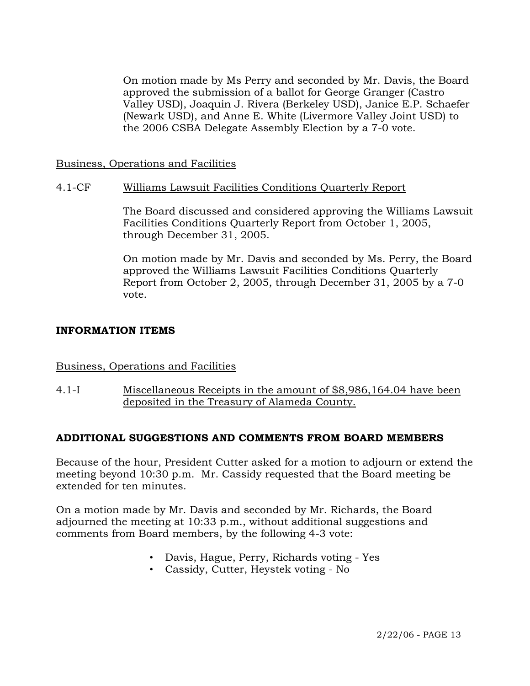On motion made by Ms Perry and seconded by Mr. Davis, the Board approved the submission of a ballot for George Granger (Castro Valley USD), Joaquin J. Rivera (Berkeley USD), Janice E.P. Schaefer (Newark USD), and Anne E. White (Livermore Valley Joint USD) to the 2006 CSBA Delegate Assembly Election by a 7-0 vote.

#### Business, Operations and Facilities

### 4.1-CF Williams Lawsuit Facilities Conditions Quarterly Report

The Board discussed and considered approving the Williams Lawsuit Facilities Conditions Quarterly Report from October 1, 2005, through December 31, 2005.

On motion made by Mr. Davis and seconded by Ms. Perry, the Board approved the Williams Lawsuit Facilities Conditions Quarterly Report from October 2, 2005, through December 31, 2005 by a 7-0 vote.

### **INFORMATION ITEMS**

#### Business, Operations and Facilities

4.1-I Miscellaneous Receipts in the amount of \$8,986,164.04 have been deposited in the Treasury of Alameda County.

## **ADDITIONAL SUGGESTIONS AND COMMENTS FROM BOARD MEMBERS**

Because of the hour, President Cutter asked for a motion to adjourn or extend the meeting beyond 10:30 p.m. Mr. Cassidy requested that the Board meeting be extended for ten minutes.

On a motion made by Mr. Davis and seconded by Mr. Richards, the Board adjourned the meeting at 10:33 p.m., without additional suggestions and comments from Board members, by the following 4-3 vote:

- Davis, Hague, Perry, Richards voting Yes
- Cassidy, Cutter, Heystek voting No